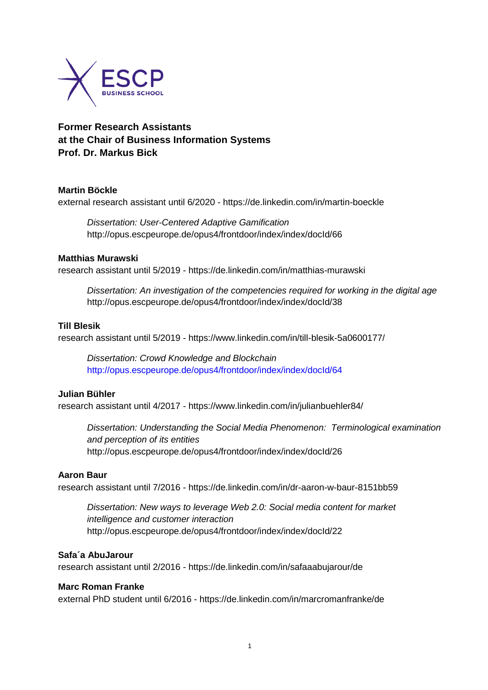

# **Former Research Assistants at the Chair of Business Information Systems Prof. Dr. Markus Bick**

# **Martin Böckle**

external research assistant until 6/2020 - https://de.linkedin.com/in/martin-boeckle

*Dissertation: User-Centered Adaptive Gamification* <http://opus.escpeurope.de/opus4/frontdoor/index/index/docId/66>

## **Matthias Murawski**

research assistant until 5/2019 - https://de.linkedin.com/in/matthias-murawski

*Dissertation: An investigation of the competencies required for working in the digital age* <http://opus.escpeurope.de/opus4/frontdoor/index/index/docId/38>

## **Till Blesik**

research assistant until 5/2019 - https://www.linkedin.com/in/till-blesik-5a0600177/

*Dissertation: Crowd Knowledge and Blockchain* <http://opus.escpeurope.de/opus4/frontdoor/index/index/docId/64>

# **Julian Bühler**

research assistant until 4/2017 - <https://www.linkedin.com/in/julianbuehler84/>

*Dissertation: Understanding the Social Media Phenomenon: Terminological examination and perception of its entities* <http://opus.escpeurope.de/opus4/frontdoor/index/index/docId/26>

#### **Aaron Baur**

research assistant until 7/2016 - https://de.linkedin.com/in/dr-aaron-w-baur-8151bb59

*Dissertation: New ways to leverage Web 2.0: Social media content for market intelligence and customer interaction* <http://opus.escpeurope.de/opus4/frontdoor/index/index/docId/22>

#### **Safa´a AbuJarour**

research assistant until 2/2016 - https://de.linkedin.com/in/safaaabujarour/de

#### **Marc Roman Franke**

external PhD student until 6/2016 - https://de.linkedin.com/in/marcromanfranke/de